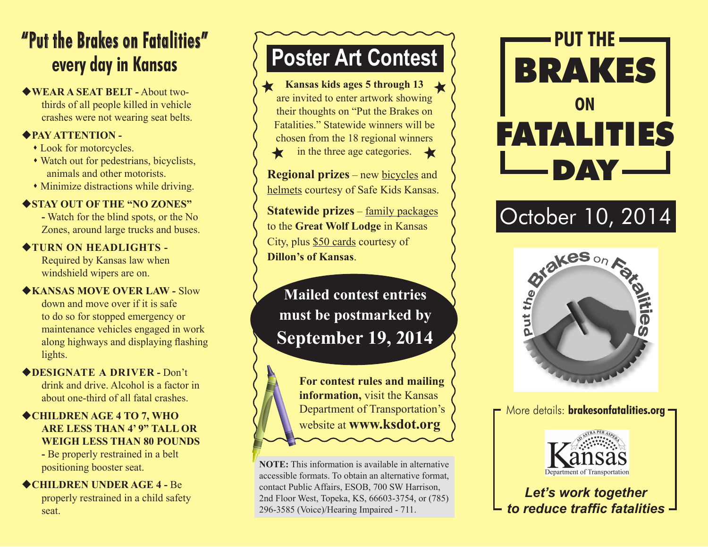### **"Put the Brakes on Fatalities" every day in Kansas**

u**WEAR A SEAT BELT -** About twothirds of all people killed in vehicle crashes were not wearing seat belts.

### u**PAY ATTENTION -**

- Look for motorcycles.
- Watch out for pedestrians, bicyclists, animals and other motorists.
- Minimize distractions while driving.

### ◆ **STAY OUT OF THE "NO ZONES"**

**-** Watch for the blind spots, or the No Zones, around large trucks and buses.

### $\triangle$ **TURN ON HEADLIGHTS -**

Required by Kansas law when windshield wipers are on.

#### u**KANSAS MOVE OVER LAW -** Slow down and move over if it is safe to do so for stopped emergency or maintenance vehicles engaged in work along highways and displaying flashing lights.

#### u**DESIGNATE A DRIVER -** Don't drink and drive. Alcohol is a factor in about one-third of all fatal crashes.

### ◆**CHILDREN AGE 4 TO 7, WHO ARE LESS THAN 4' 9" TALL OR WEIGH LESS THAN 80 POUNDS**

**-** Be properly restrained in a belt positioning booster seat.

◆CHILDREN UNDER AGE 4 - Be properly restrained in a child safety seat.

# **Poster Art Contest**

Kansas kids ages 5 through 13 are invited to enter artwork showing their thoughts on "Put the Brakes on Fatalities." Statewide winners will be chosen from the 18 regional winners in the three age categories.  $\triangleleft$ ★

**Regional prizes** – new bicycles and helmets courtesy of Safe Kids Kansas.

**Statewide prizes** – family packages to the **Great Wolf Lodge** in Kansas City, plus \$50 cards courtesy of **Dillon's of Kansas**.

**Mailed contest entries must be postmarked by September 19, 2014**

> **For contest rules and mailing information,** visit the Kansas Department of Transportation's website at **www.ksdot.org**

**NOTE:** This information is available in alternative accessible formats. To obtain an alternative format, contact Public Affairs, ESOB, 700 SW Harrison, 2nd Floor West, Topeka, KS, 66603-3754, or (785) 296-3585 (Voice)/Hearing Impaired - 711.





More details: **brakesonfatalities.org**



*Let's work together to reduce traffic fatalities*